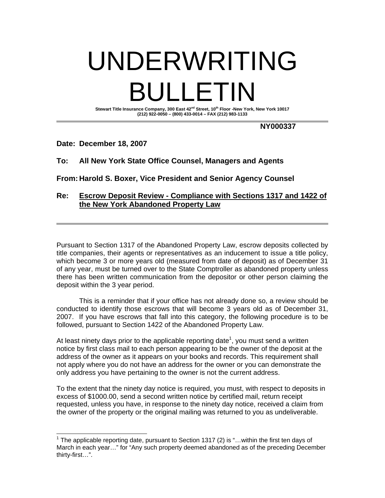# UNDERWRITING BULLETIN Stewart Title Insurance Company, 300 East 42<sup>nd</sup> Street, 10<sup>th</sup> Floor -New York, New York 10017 **(212) 922-0050 – (800) 433-0014 – FAX (212) 983-1133**

**NY000337** 

## **Date: December 18, 2007**

# **To: All New York State Office Counsel, Managers and Agents**

**From: Harold S. Boxer, Vice President and Senior Agency Counsel** 

### **Re: Escrow Deposit Review - Compliance with Sections 1317 and 1422 of the New York Abandoned Property Law**

Pursuant to Section 1317 of the Abandoned Property Law, escrow deposits collected by title companies, their agents or representatives as an inducement to issue a title policy, which become 3 or more years old (measured from date of deposit) as of December 31 of any year, must be turned over to the State Comptroller as abandoned property unless there has been written communication from the depositor or other person claiming the deposit within the 3 year period.

 This is a reminder that if your office has not already done so, a review should be conducted to identify those escrows that will become 3 years old as of December 31, 2007. If you have escrows that fall into this category, the following procedure is to be followed, pursuant to Section 1422 of the Abandoned Property Law.

At least ninety days prior to the applicable reporting date<sup>1</sup>, you must send a written notice by first class mail to each person appearing to be the owner of the deposit at the address of the owner as it appears on your books and records. This requirement shall not apply where you do not have an address for the owner or you can demonstrate the only address you have pertaining to the owner is not the current address.

To the extent that the ninety day notice is required, you must, with respect to deposits in excess of \$1000.00, send a second written notice by certified mail, return receipt requested, unless you have, in response to the ninety day notice, received a claim from the owner of the property or the original mailing was returned to you as undeliverable.

<sup>————————————————————&</sup>lt;br><sup>1</sup> The applicable reporting date, pursuant to Section 1317 (2) is "…within the first ten days of March in each year…" for "Any such property deemed abandoned as of the preceding December thirty-first…".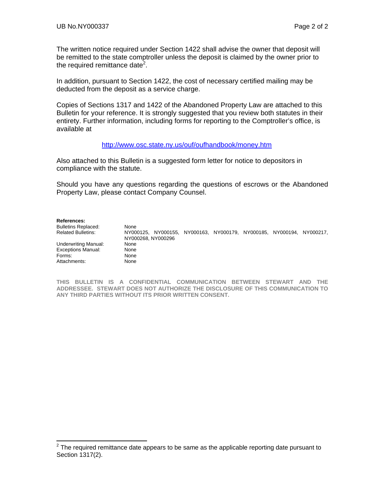The written notice required under Section 1422 shall advise the owner that deposit will be remitted to the state comptroller unless the deposit is claimed by the owner prior to the required remittance date<sup>2</sup>.

In addition, pursuant to Section 1422, the cost of necessary certified mailing may be deducted from the deposit as a service charge.

Copies of Sections 1317 and 1422 of the Abandoned Property Law are attached to this Bulletin for your reference. It is strongly suggested that you review both statutes in their entirety. Further information, including forms for reporting to the Comptroller's office, is available at

### <http://www.osc.state.ny.us/ouf/oufhandbook/money.htm>

Also attached to this Bulletin is a suggested form letter for notice to depositors in compliance with the statute.

Should you have any questions regarding the questions of escrows or the Abandoned Property Law, please contact Company Counsel.

#### **References:**

| <b>Bulletins Replaced:</b> | None               |  |                                                             |  |
|----------------------------|--------------------|--|-------------------------------------------------------------|--|
| <b>Related Bulletins:</b>  | NY000125.          |  | NY000155, NY000163, NY000179, NY000185, NY000194, NY000217, |  |
|                            | NY000268. NY000296 |  |                                                             |  |
| Underwriting Manual:       | None               |  |                                                             |  |
| <b>Exceptions Manual:</b>  | None               |  |                                                             |  |
| Forms:                     | None               |  |                                                             |  |
| Attachments:               | None               |  |                                                             |  |

**THIS BULLETIN IS A CONFIDENTIAL COMMUNICATION BETWEEN STEWART AND THE ADDRESSEE. STEWART DOES NOT AUTHORIZE THE DISCLOSURE OF THIS COMMUNICATION TO ANY THIRD PARTIES WITHOUT ITS PRIOR WRITTEN CONSENT.** 

 2 The required remittance date appears to be same as the applicable reporting date pursuant to Section 1317(2).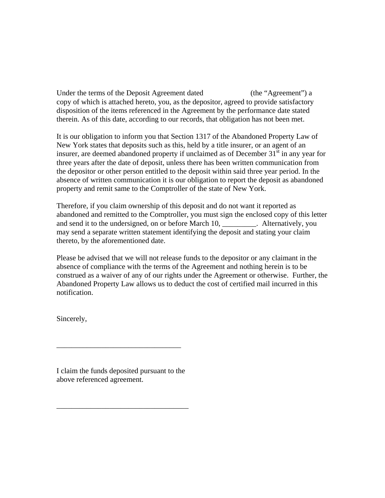Under the terms of the Deposit Agreement dated (the "Agreement") a copy of which is attached hereto, you, as the depositor, agreed to provide satisfactory disposition of the items referenced in the Agreement by the performance date stated therein. As of this date, according to our records, that obligation has not been met.

It is our obligation to inform you that Section 1317 of the Abandoned Property Law of New York states that deposits such as this, held by a title insurer, or an agent of an insurer, are deemed abandoned property if unclaimed as of December  $31<sup>st</sup>$  in any year for three years after the date of deposit, unless there has been written communication from the depositor or other person entitled to the deposit within said three year period. In the absence of written communication it is our obligation to report the deposit as abandoned property and remit same to the Comptroller of the state of New York.

Therefore, if you claim ownership of this deposit and do not want it reported as abandoned and remitted to the Comptroller, you must sign the enclosed copy of this letter and send it to the undersigned, on or before March 10, \_\_\_\_\_\_\_\_\_. Alternatively, you may send a separate written statement identifying the deposit and stating your claim thereto, by the aforementioned date.

Please be advised that we will not release funds to the depositor or any claimant in the absence of compliance with the terms of the Agreement and nothing herein is to be construed as a waiver of any of our rights under the Agreement or otherwise. Further, the Abandoned Property Law allows us to deduct the cost of certified mail incurred in this notification.

Sincerely,

I claim the funds deposited pursuant to the above referenced agreement.

\_\_\_\_\_\_\_\_\_\_\_\_\_\_\_\_\_\_\_\_\_\_\_\_\_\_\_\_\_\_\_\_\_\_\_

\_\_\_\_\_\_\_\_\_\_\_\_\_\_\_\_\_\_\_\_\_\_\_\_\_\_\_\_\_\_\_\_\_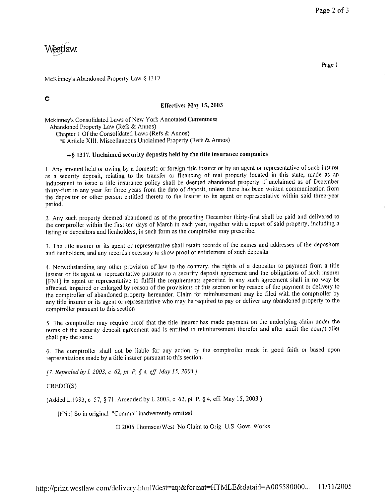# Westlaw.

Page 1

McKinney's Abandoned Property Law § 1317

 $\ddot{\text{c}}$ 

### Effective: May 15, 2003

Mckinney's Consolidated Laws of New York Annotated Currentness Abandoned Property Law (Refs & Annos) Chapter 1 Of the Consolidated Laws (Refs & Annos) 5 Article XIII. Miscellaneous Unclaimed Property (Refs & Annos)

### $\rightarrow$ § 1317. Unclaimed security deposits held by the title insurance companies

1 Any amount held or owing by a domestic or foreign title insurer or by an agent or representative of such insurer as a security deposit, relating to the transfer or financing of real property located in this state, made as an inducement to issue a title insurance policy shall be deemed abandoned property if unclaimed as of December thirty-first in any year for three years from the date of deposit, unless there has been written communication from the depositor or other person entitled thereto to the insurer to its agent or representative within said three-year period.

2. Any such property deemed abandoned as of the preceding December thirty-first shall be paid and delivered to the comptroller within the first ten days of March in each year, together with a report of said property, including a listing of depositors and lienholders, in such form as the comptroller may prescribe.

3. The title insurer or its agent or representative shall retain records of the names and addresses of the depositors and lienholders, and any records necessary to show proof of entitlement of such deposits.

4. Notwithstanding any other provision of law to the contrary, the rights of a depositor to payment from a title insurer or its agent or representative pursuant to a security deposit agreement and the obligations of such insurer [FNI] its agent or representative to fulfill the requirements specified in any such agreement shall in no way be affected, impaired or enlarged by reason of the provisions of this section or by reason of the payment or delivery to the comptroller of abandoned property hereunder. Claim for reimbursement may be filed with the comptroller by any title insurer or its agent or representative who may be required to pay or deliver any abandoned property to the comptroller pursuant to this section

5 The comptroller may require proof that the title insurer has made payment on the underlying claim under the terms of the security deposit agreement and is entitled to reimbursement therefor and after audit the comptroller shall pay the same.

6. The comptroller shall not be liable for any action by the comptroller made in good faith or based upon representations made by a title insurer pursuant to this section.

[7] Repealed by L 2003, c 62, pt P, § 4, eff. May 15, 2003]

CREDIT(S)

(Added L.1993, c. 57, § 71. Amended by L.2003, c. 62, pt. P, § 4, eff. May 15, 2003.)

[FN1] So in original. "Comma" inadvertently omitted

© 2005 Thomson/West No Claim to Orig. U.S. Govt. Works.